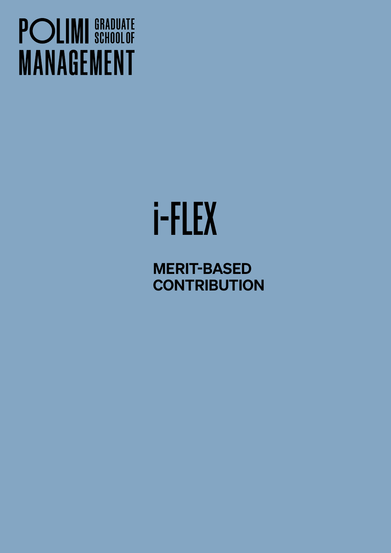## **POLIMI** SCHOOLOF **MANAGEMENT**

# i-FLEX

MERIT-BASED **CONTRIBUTION**